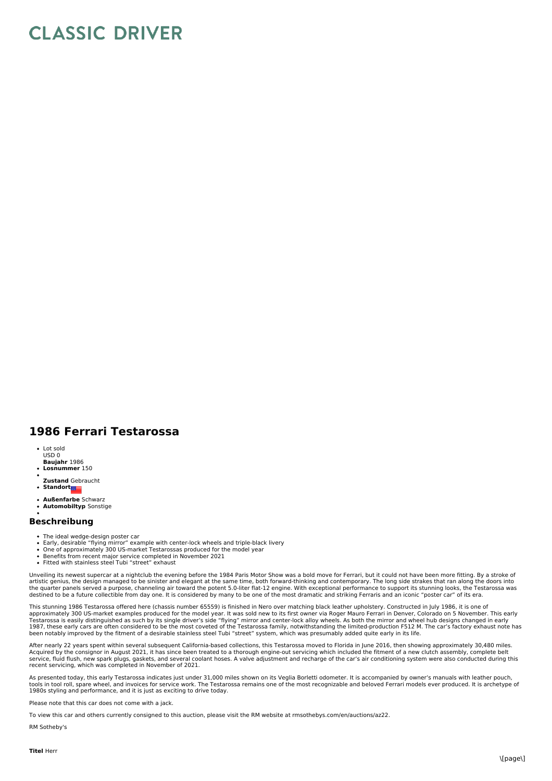## **CLASSIC DRIVER**

## **1986 Ferrari Testarossa**

- **Baujahr** 1986 • Lot sold USD 0
- **Losnummer** 150
- **Zustand** Gebraucht
- $\bullet$ **Standort**
- **Außenfarbe** Schwarz
- $\ddot{\bullet}$ **Automobiltyp** Sonstige

## **Beschreibung**

- The ideal wedge-design poster car
- Early, desirable "flying mirror" example with center-lock wheels and triple-black livery One of approximately 300 US-market Testarossas produced for the model year
- 
- Benefits from recent major service completed in November 2021 Fitted with stainless steel Tubi "street" exhaust

Unveiling its newest supercar at a nightclub the evening before the 1984 Paris Motor Show was a bold move for Ferrari, but it could not have been more fitting. By a stroke of<br>artistic genius, the design managed to be sinis

This stunning 1986 Testarossa offered here (chassis number 65559) is finished in Nero over matching black leather upholstery. Constructed in July 1986, it is one of<br>Teproximately 300 US-market examples produced for the mod

After nearly 22 years spent within several subsequent California-based collections, this Testarossa moved to Florida in June 2016, then showing approximately 30,480 miles. Acquired by the consignor in August 2021, it has since been treated to a thorough engine-out servicing which included the fitment of a new clutch assembly, complete belt<br>service, fluid flush, new spark plugs, gaskets, and recent servicing, which was completed in November of 2021.

As presented today, this early Testarossa indicates just under 31,000 miles shown on its Veglia Borletti odometer. It is accompanied by owner's manuals with leather pouch, tools in tool roll, spare wheel, and invoices for service work. The Testarossa remains one of the most recognizable and beloved Ferrari models ever produced. It is archetype of<br>1980s styling and performance, and it is just

Please note that this car does not come with a jack.

To view this car and others currently consigned to this auction, please visit the RM website at rmsothebys.com/en/auctions/az22.

RM Sotheby's